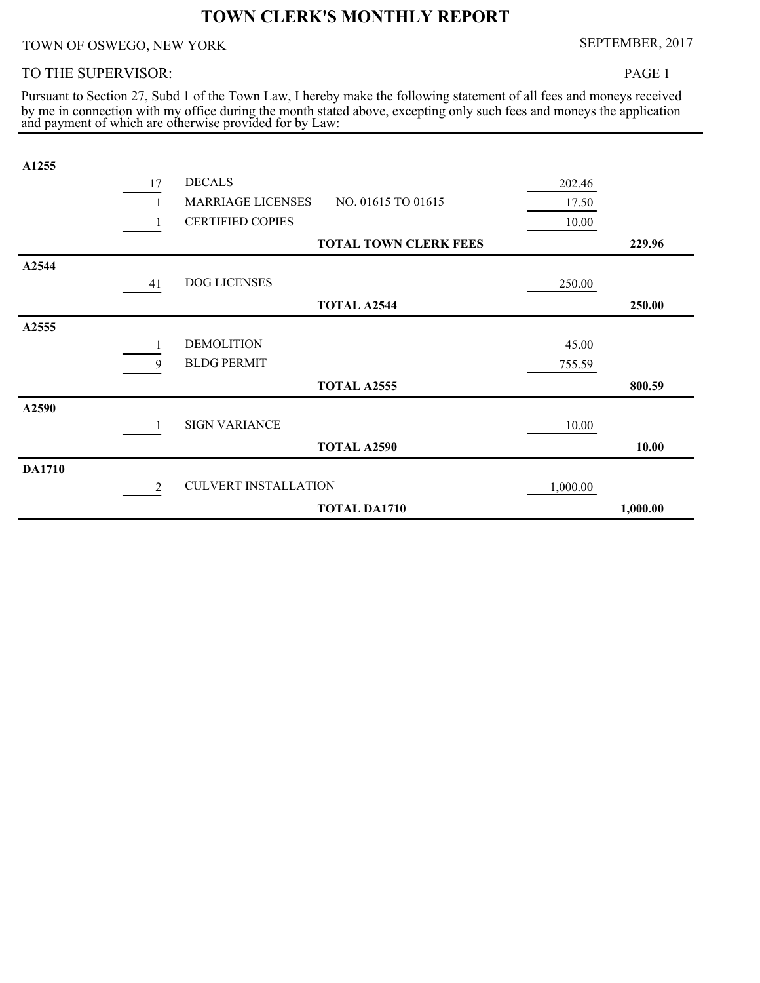# **TOWN CLERK'S MONTHLY REPORT**

## TOWN OF OSWEGO, NEW YORK SEPTEMBER, 2017

#### TO THE SUPERVISOR:

PAGE 1

and payment of which are otherwise provided for by Law: by me in connection with my office during the month stated above, excepting only such fees and moneys the application Pursuant to Section 27, Subd 1 of the Town Law, I hereby make the following statement of all fees and moneys received

| A1255         |    |                             |                              |          |          |
|---------------|----|-----------------------------|------------------------------|----------|----------|
|               | 17 | <b>DECALS</b>               |                              | 202.46   |          |
|               |    | <b>MARRIAGE LICENSES</b>    | NO. 01615 TO 01615           | 17.50    |          |
|               |    | <b>CERTIFIED COPIES</b>     |                              | 10.00    |          |
|               |    |                             | <b>TOTAL TOWN CLERK FEES</b> |          | 229.96   |
| A2544         |    |                             |                              |          |          |
|               | 41 | DOG LICENSES                |                              | 250.00   |          |
|               |    |                             | <b>TOTAL A2544</b>           |          | 250.00   |
| A2555         |    |                             |                              |          |          |
|               | 1  | <b>DEMOLITION</b>           |                              | 45.00    |          |
|               | 9  | <b>BLDG PERMIT</b>          |                              | 755.59   |          |
|               |    |                             | <b>TOTAL A2555</b>           |          | 800.59   |
| A2590         |    |                             |                              |          |          |
|               |    | <b>SIGN VARIANCE</b>        |                              | 10.00    |          |
|               |    |                             | <b>TOTAL A2590</b>           |          | 10.00    |
| <b>DA1710</b> |    |                             |                              |          |          |
|               | 2  | <b>CULVERT INSTALLATION</b> |                              | 1,000.00 |          |
|               |    |                             | <b>TOTAL DA1710</b>          |          | 1,000.00 |